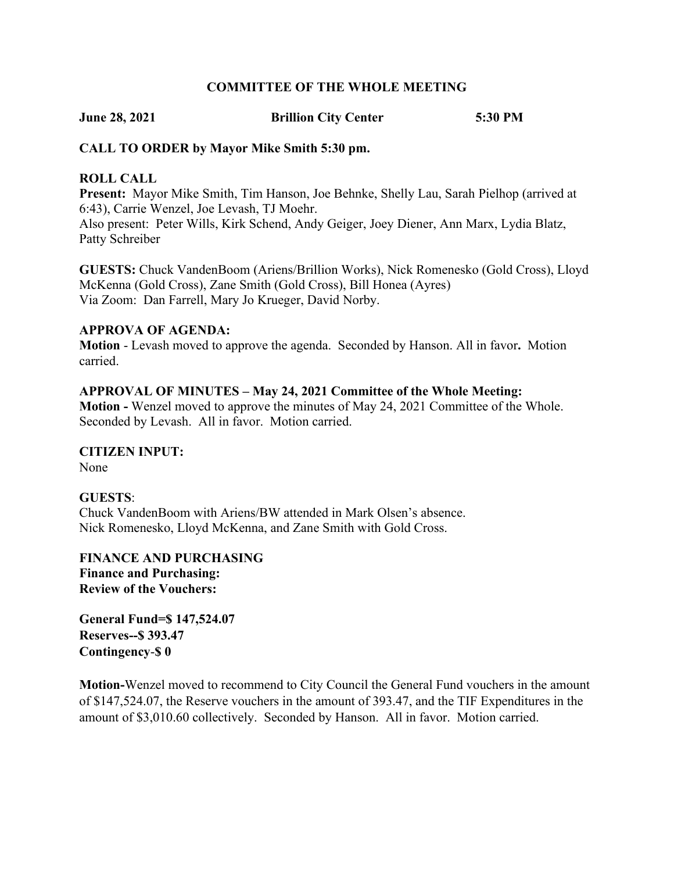### **COMMITTEE OF THE WHOLE MEETING**

**June 28, 2021 Brillion City Center 5:30 PM**

# **CALL TO ORDER by Mayor Mike Smith 5:30 pm.**

### **ROLL CALL**

**Present:** Mayor Mike Smith, Tim Hanson, Joe Behnke, Shelly Lau, Sarah Pielhop (arrived at 6:43), Carrie Wenzel, Joe Levash, TJ Moehr.

Also present: Peter Wills, Kirk Schend, Andy Geiger, Joey Diener, Ann Marx, Lydia Blatz, Patty Schreiber

**GUESTS:** Chuck VandenBoom (Ariens/Brillion Works), Nick Romenesko (Gold Cross), Lloyd McKenna (Gold Cross), Zane Smith (Gold Cross), Bill Honea (Ayres) Via Zoom: Dan Farrell, Mary Jo Krueger, David Norby.

### **APPROVA OF AGENDA:**

**Motion** - Levash moved to approve the agenda. Seconded by Hanson. All in favor**.** Motion carried.

### **APPROVAL OF MINUTES – May 24, 2021 Committee of the Whole Meeting:**

**Motion -** Wenzel moved to approve the minutes of May 24, 2021 Committee of the Whole. Seconded by Levash. All in favor. Motion carried.

# **CITIZEN INPUT:**

None

### **GUESTS**:

Chuck VandenBoom with Ariens/BW attended in Mark Olsen's absence. Nick Romenesko, Lloyd McKenna, and Zane Smith with Gold Cross.

**FINANCE AND PURCHASING Finance and Purchasing: Review of the Vouchers:**

**General Fund=\$ 147,524.07 Reserves--\$ 393.47 Contingency**-**\$ 0**

**Motion-**Wenzel moved to recommend to City Council the General Fund vouchers in the amount of \$147,524.07, the Reserve vouchers in the amount of 393.47, and the TIF Expenditures in the amount of \$3,010.60 collectively. Seconded by Hanson. All in favor. Motion carried.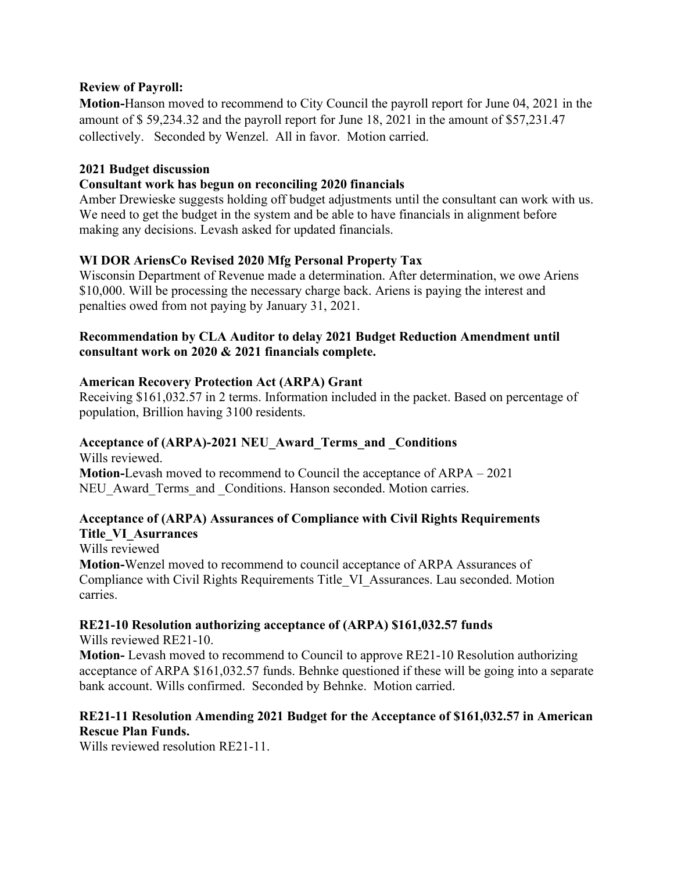# **Review of Payroll:**

**Motion-**Hanson moved to recommend to City Council the payroll report for June 04, 2021 in the amount of \$ 59,234.32 and the payroll report for June 18, 2021 in the amount of \$57,231.47 collectively. Seconded by Wenzel. All in favor. Motion carried.

### **2021 Budget discussion**

# **Consultant work has begun on reconciling 2020 financials**

Amber Drewieske suggests holding off budget adjustments until the consultant can work with us. We need to get the budget in the system and be able to have financials in alignment before making any decisions. Levash asked for updated financials.

### **WI DOR AriensCo Revised 2020 Mfg Personal Property Tax**

Wisconsin Department of Revenue made a determination. After determination, we owe Ariens \$10,000. Will be processing the necessary charge back. Ariens is paying the interest and penalties owed from not paying by January 31, 2021.

### **Recommendation by CLA Auditor to delay 2021 Budget Reduction Amendment until consultant work on 2020 & 2021 financials complete.**

### **American Recovery Protection Act (ARPA) Grant**

Receiving \$161,032.57 in 2 terms. Information included in the packet. Based on percentage of population, Brillion having 3100 residents.

# **Acceptance of (ARPA)-2021 NEU\_Award\_Terms\_and \_Conditions**

Wills reviewed. **Motion-**Levash moved to recommend to Council the acceptance of ARPA – 2021 NEU Award Terms and Conditions. Hanson seconded. Motion carries.

# **Acceptance of (ARPA) Assurances of Compliance with Civil Rights Requirements Title\_VI\_Asurrances**

Wills reviewed

**Motion-**Wenzel moved to recommend to council acceptance of ARPA Assurances of Compliance with Civil Rights Requirements Title\_VI\_Assurances. Lau seconded. Motion carries.

# **RE21-10 Resolution authorizing acceptance of (ARPA) \$161,032.57 funds**

Wills reviewed RE21-10.

**Motion-** Levash moved to recommend to Council to approve RE21-10 Resolution authorizing acceptance of ARPA \$161,032.57 funds. Behnke questioned if these will be going into a separate bank account. Wills confirmed. Seconded by Behnke. Motion carried.

### **RE21-11 Resolution Amending 2021 Budget for the Acceptance of \$161,032.57 in American Rescue Plan Funds.**

Wills reviewed resolution RE21-11.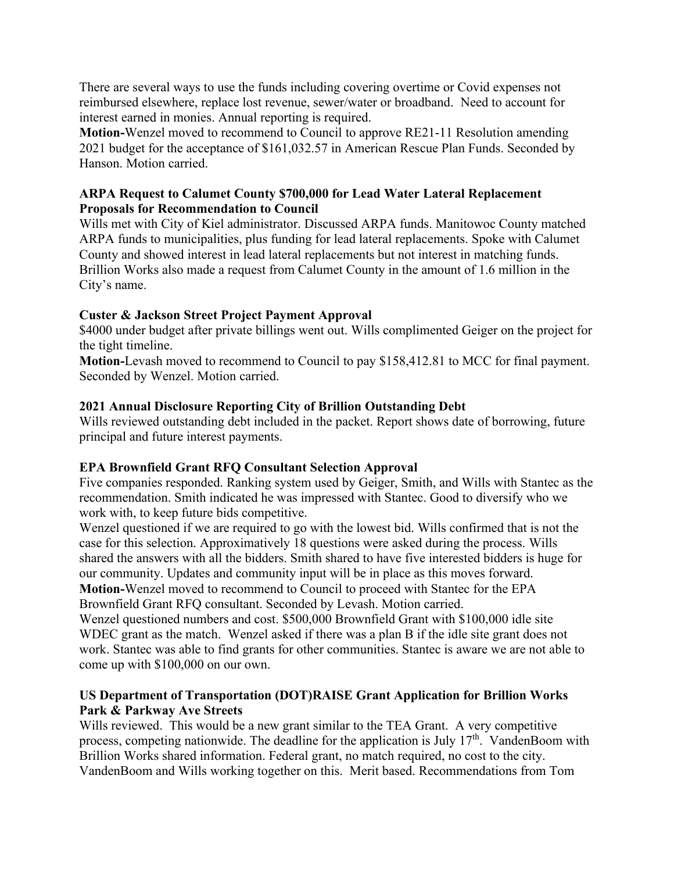There are several ways to use the funds including covering overtime or Covid expenses not reimbursed elsewhere, replace lost revenue, sewer/water or broadband. Need to account for interest earned in monies. Annual reporting is required.

**Motion-**Wenzel moved to recommend to Council to approve RE21-11 Resolution amending 2021 budget for the acceptance of \$161,032.57 in American Rescue Plan Funds. Seconded by Hanson. Motion carried.

### **ARPA Request to Calumet County \$700,000 for Lead Water Lateral Replacement Proposals for Recommendation to Council**

Wills met with City of Kiel administrator. Discussed ARPA funds. Manitowoc County matched ARPA funds to municipalities, plus funding for lead lateral replacements. Spoke with Calumet County and showed interest in lead lateral replacements but not interest in matching funds. Brillion Works also made a request from Calumet County in the amount of 1.6 million in the City's name.

# **Custer & Jackson Street Project Payment Approval**

\$4000 under budget after private billings went out. Wills complimented Geiger on the project for the tight timeline.

**Motion-**Levash moved to recommend to Council to pay \$158,412.81 to MCC for final payment. Seconded by Wenzel. Motion carried.

# **2021 Annual Disclosure Reporting City of Brillion Outstanding Debt**

Wills reviewed outstanding debt included in the packet. Report shows date of borrowing, future principal and future interest payments.

# **EPA Brownfield Grant RFQ Consultant Selection Approval**

Five companies responded. Ranking system used by Geiger, Smith, and Wills with Stantec as the recommendation. Smith indicated he was impressed with Stantec. Good to diversify who we work with, to keep future bids competitive.

Wenzel questioned if we are required to go with the lowest bid. Wills confirmed that is not the case for this selection. Approximatively 18 questions were asked during the process. Wills shared the answers with all the bidders. Smith shared to have five interested bidders is huge for our community. Updates and community input will be in place as this moves forward. **Motion-**Wenzel moved to recommend to Council to proceed with Stantec for the EPA Brownfield Grant RFQ consultant. Seconded by Levash. Motion carried.

Wenzel questioned numbers and cost. \$500,000 Brownfield Grant with \$100,000 idle site WDEC grant as the match. Wenzel asked if there was a plan B if the idle site grant does not work. Stantec was able to find grants for other communities. Stantec is aware we are not able to come up with \$100,000 on our own.

# **US Department of Transportation (DOT)RAISE Grant Application for Brillion Works Park & Parkway Ave Streets**

Wills reviewed. This would be a new grant similar to the TEA Grant. A very competitive process, competing nationwide. The deadline for the application is July  $17<sup>th</sup>$ . VandenBoom with Brillion Works shared information. Federal grant, no match required, no cost to the city. VandenBoom and Wills working together on this. Merit based. Recommendations from Tom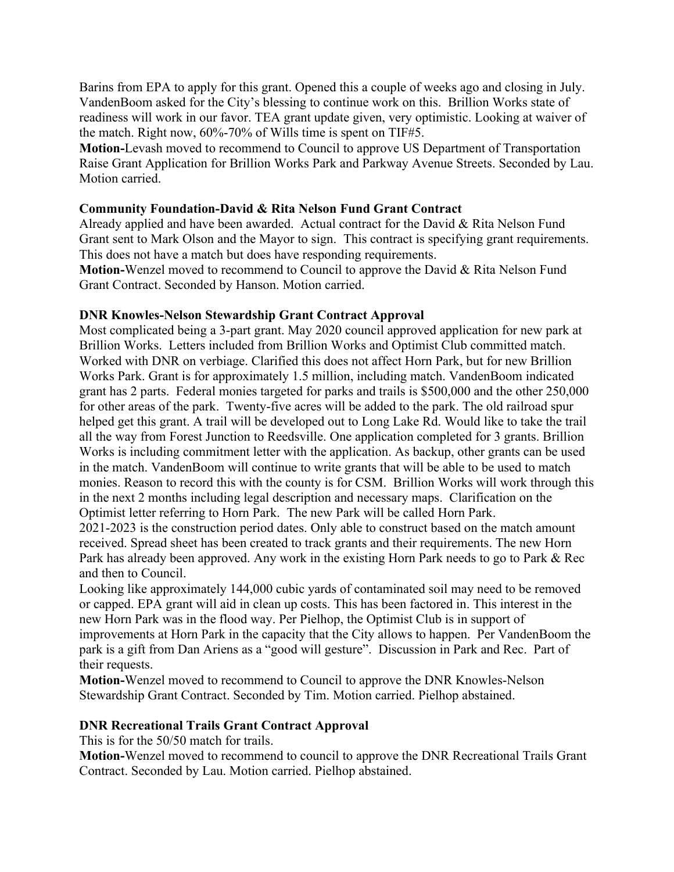Barins from EPA to apply for this grant. Opened this a couple of weeks ago and closing in July. VandenBoom asked for the City's blessing to continue work on this. Brillion Works state of readiness will work in our favor. TEA grant update given, very optimistic. Looking at waiver of the match. Right now, 60%-70% of Wills time is spent on TIF#5.

**Motion-**Levash moved to recommend to Council to approve US Department of Transportation Raise Grant Application for Brillion Works Park and Parkway Avenue Streets. Seconded by Lau. Motion carried.

### **Community Foundation-David & Rita Nelson Fund Grant Contract**

Already applied and have been awarded. Actual contract for the David & Rita Nelson Fund Grant sent to Mark Olson and the Mayor to sign. This contract is specifying grant requirements. This does not have a match but does have responding requirements.

**Motion-**Wenzel moved to recommend to Council to approve the David & Rita Nelson Fund Grant Contract. Seconded by Hanson. Motion carried.

### **DNR Knowles-Nelson Stewardship Grant Contract Approval**

Most complicated being a 3-part grant. May 2020 council approved application for new park at Brillion Works. Letters included from Brillion Works and Optimist Club committed match. Worked with DNR on verbiage. Clarified this does not affect Horn Park, but for new Brillion Works Park. Grant is for approximately 1.5 million, including match. VandenBoom indicated grant has 2 parts. Federal monies targeted for parks and trails is \$500,000 and the other 250,000 for other areas of the park. Twenty-five acres will be added to the park. The old railroad spur helped get this grant. A trail will be developed out to Long Lake Rd. Would like to take the trail all the way from Forest Junction to Reedsville. One application completed for 3 grants. Brillion Works is including commitment letter with the application. As backup, other grants can be used in the match. VandenBoom will continue to write grants that will be able to be used to match monies. Reason to record this with the county is for CSM. Brillion Works will work through this in the next 2 months including legal description and necessary maps. Clarification on the Optimist letter referring to Horn Park. The new Park will be called Horn Park.

2021-2023 is the construction period dates. Only able to construct based on the match amount received. Spread sheet has been created to track grants and their requirements. The new Horn Park has already been approved. Any work in the existing Horn Park needs to go to Park & Rec and then to Council.

Looking like approximately 144,000 cubic yards of contaminated soil may need to be removed or capped. EPA grant will aid in clean up costs. This has been factored in. This interest in the new Horn Park was in the flood way. Per Pielhop, the Optimist Club is in support of improvements at Horn Park in the capacity that the City allows to happen. Per VandenBoom the park is a gift from Dan Ariens as a "good will gesture". Discussion in Park and Rec. Part of their requests.

**Motion-**Wenzel moved to recommend to Council to approve the DNR Knowles-Nelson Stewardship Grant Contract. Seconded by Tim. Motion carried. Pielhop abstained.

### **DNR Recreational Trails Grant Contract Approval**

This is for the 50/50 match for trails.

**Motion-**Wenzel moved to recommend to council to approve the DNR Recreational Trails Grant Contract. Seconded by Lau. Motion carried. Pielhop abstained.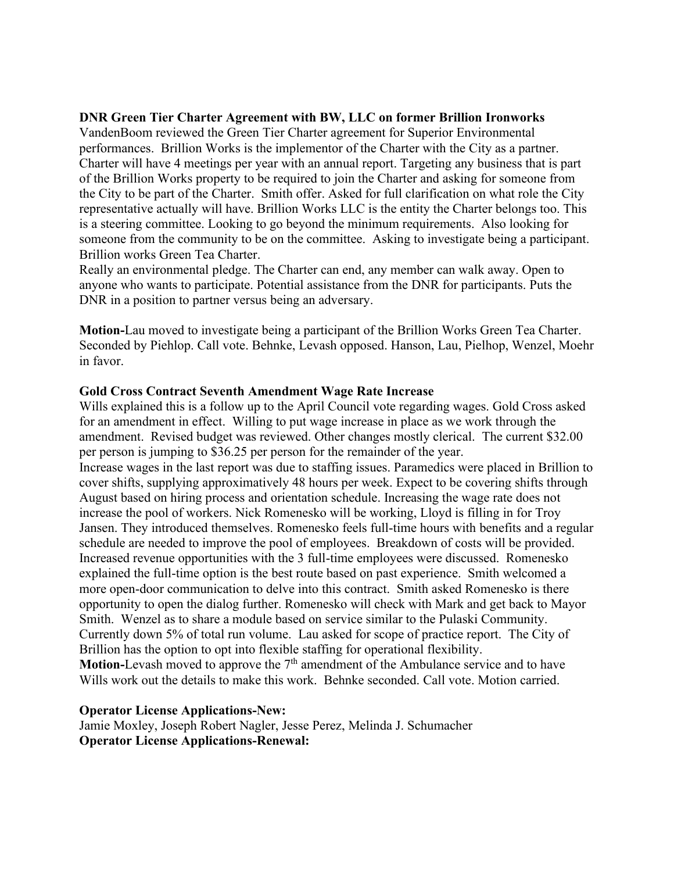### **DNR Green Tier Charter Agreement with BW, LLC on former Brillion Ironworks**

VandenBoom reviewed the Green Tier Charter agreement for Superior Environmental performances. Brillion Works is the implementor of the Charter with the City as a partner. Charter will have 4 meetings per year with an annual report. Targeting any business that is part of the Brillion Works property to be required to join the Charter and asking for someone from the City to be part of the Charter. Smith offer. Asked for full clarification on what role the City representative actually will have. Brillion Works LLC is the entity the Charter belongs too. This is a steering committee. Looking to go beyond the minimum requirements. Also looking for someone from the community to be on the committee. Asking to investigate being a participant. Brillion works Green Tea Charter.

Really an environmental pledge. The Charter can end, any member can walk away. Open to anyone who wants to participate. Potential assistance from the DNR for participants. Puts the DNR in a position to partner versus being an adversary.

**Motion-**Lau moved to investigate being a participant of the Brillion Works Green Tea Charter. Seconded by Piehlop. Call vote. Behnke, Levash opposed. Hanson, Lau, Pielhop, Wenzel, Moehr in favor.

#### **Gold Cross Contract Seventh Amendment Wage Rate Increase**

Wills explained this is a follow up to the April Council vote regarding wages. Gold Cross asked for an amendment in effect. Willing to put wage increase in place as we work through the amendment. Revised budget was reviewed. Other changes mostly clerical. The current \$32.00 per person is jumping to \$36.25 per person for the remainder of the year. Increase wages in the last report was due to staffing issues. Paramedics were placed in Brillion to cover shifts, supplying approximatively 48 hours per week. Expect to be covering shifts through August based on hiring process and orientation schedule. Increasing the wage rate does not increase the pool of workers. Nick Romenesko will be working, Lloyd is filling in for Troy Jansen. They introduced themselves. Romenesko feels full-time hours with benefits and a regular schedule are needed to improve the pool of employees. Breakdown of costs will be provided. Increased revenue opportunities with the 3 full-time employees were discussed. Romenesko explained the full-time option is the best route based on past experience. Smith welcomed a more open-door communication to delve into this contract. Smith asked Romenesko is there opportunity to open the dialog further. Romenesko will check with Mark and get back to Mayor Smith. Wenzel as to share a module based on service similar to the Pulaski Community. Currently down 5% of total run volume. Lau asked for scope of practice report. The City of Brillion has the option to opt into flexible staffing for operational flexibility. **Motion-Levash moved to approve the 7<sup>th</sup> amendment of the Ambulance service and to have** Wills work out the details to make this work. Behnke seconded. Call vote. Motion carried.

#### **Operator License Applications-New:**

Jamie Moxley, Joseph Robert Nagler, Jesse Perez, Melinda J. Schumacher **Operator License Applications-Renewal:**